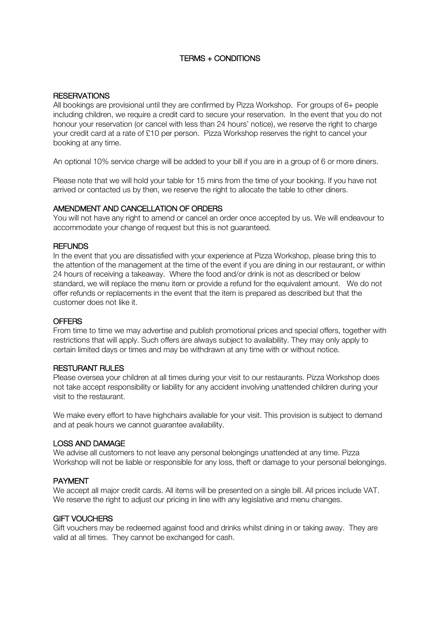# TERMS + CONDITIONS

## **RESERVATIONS**

All bookings are provisional until they are confirmed by Pizza Workshop. For groups of 6+ people including children, we require a credit card to secure your reservation. In the event that you do not honour your reservation (or cancel with less than 24 hours' notice), we reserve the right to charge your credit card at a rate of £10 per person. Pizza Workshop reserves the right to cancel your booking at any time.

An optional 10% service charge will be added to your bill if you are in a group of 6 or more diners.

Please note that we will hold your table for 15 mins from the time of your booking. If you have not arrived or contacted us by then, we reserve the right to allocate the table to other diners.

### AMENDMENT AND CANCELLATION OF ORDERS

You will not have any right to amend or cancel an order once accepted by us. We will endeavour to accommodate your change of request but this is not guaranteed.

### **REFUNDS**

In the event that you are dissatisfied with your experience at Pizza Workshop, please bring this to the attention of the management at the time of the event if you are dining in our restaurant, or within 24 hours of receiving a takeaway. Where the food and/or drink is not as described or below standard, we will replace the menu item or provide a refund for the equivalent amount. We do not offer refunds or replacements in the event that the item is prepared as described but that the customer does not like it.

### **OFFERS**

From time to time we may advertise and publish promotional prices and special offers, together with restrictions that will apply. Such offers are always subject to availability. They may only apply to certain limited days or times and may be withdrawn at any time with or without notice.

## RESTURANT RULES

Please oversea your children at all times during your visit to our restaurants. Pizza Workshop does not take accept responsibility or liability for any accident involving unattended children during your visit to the restaurant.

We make every effort to have highchairs available for your visit. This provision is subject to demand and at peak hours we cannot guarantee availability.

## LOSS AND DAMAGE

We advise all customers to not leave any personal belongings unattended at any time. Pizza Workshop will not be liable or responsible for any loss, theft or damage to your personal belongings.

# PAYMENT

We accept all major credit cards. All items will be presented on a single bill. All prices include VAT. We reserve the right to adjust our pricing in line with any legislative and menu changes.

## GIFT VOUCHERS

Gift vouchers may be redeemed against food and drinks whilst dining in or taking away. They are valid at all times. They cannot be exchanged for cash.